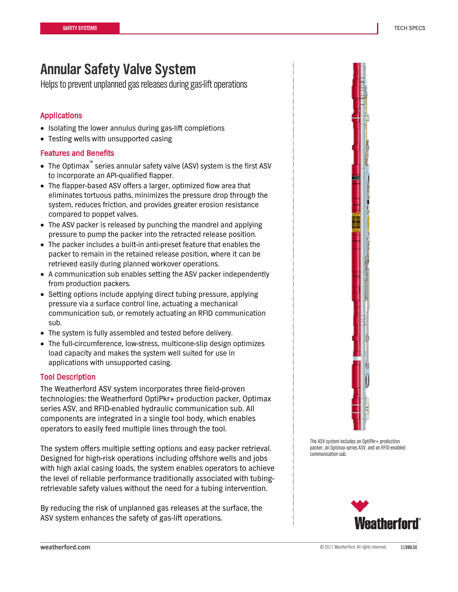## **Annular Safety Valve System**

Helps to prevent unplanned gas releases during gas-lift operations

## Applications

- Isolating the lower annulus during gas-lift completions
- Testing wells with unsupported casing

## Features and Benefits

- The Optimax™ series annular safety valve (ASV) system is the first ASV to incorporate an API-qualified flapper.
- The flapper-based ASV offers a larger, optimized flow area that eliminates tortuous paths, minimizes the pressure drop through the system, reduces friction, and provides greater erosion resistance compared to poppet valves.
- The ASV packer is released by punching the mandrel and applying pressure to pump the packer into the retracted release position.
- The packer includes a built-in anti-preset feature that enables the packer to remain in the retained release position, where it can be retrieved easily during planned workover operations.
- A communication sub enables setting the ASV packer independently from production packers.
- Setting options include applying direct tubing pressure, applying pressure via a surface control line, actuating a mechanical communication sub, or remotely actuating an RFID communication sub.
- The system is fully assembled and tested before delivery.
- The full-circumference, low-stress, multicone-slip design optimizes load capacity and makes the system well suited for use in applications with unsupported casing.

## Tool Description

The Weatherford ASV system incorporates three field-proven technologies: the Weatherford OptiPkr+ production packer, Optimax series ASV, and RFID-enabled hydraulic communication sub. All components are integrated in a single tool body, which enables operators to easily feed multiple lines through the tool.

The system offers multiple setting options and easy packer retrieval. Designed for high-risk operations including offshore wells and jobs with high axial casing loads, the system enables operators to achieve the level of reliable performance traditionally associated with tubingretrievable safety values without the need for a tubing intervention.

By reducing the risk of unplanned gas releases at the surface, the ASV system enhances the safety of gas-lift operations.



The ASV system includes an OptiPkr+ production packer, an Optimax series ASV, and an RFID-enabled communication sub.